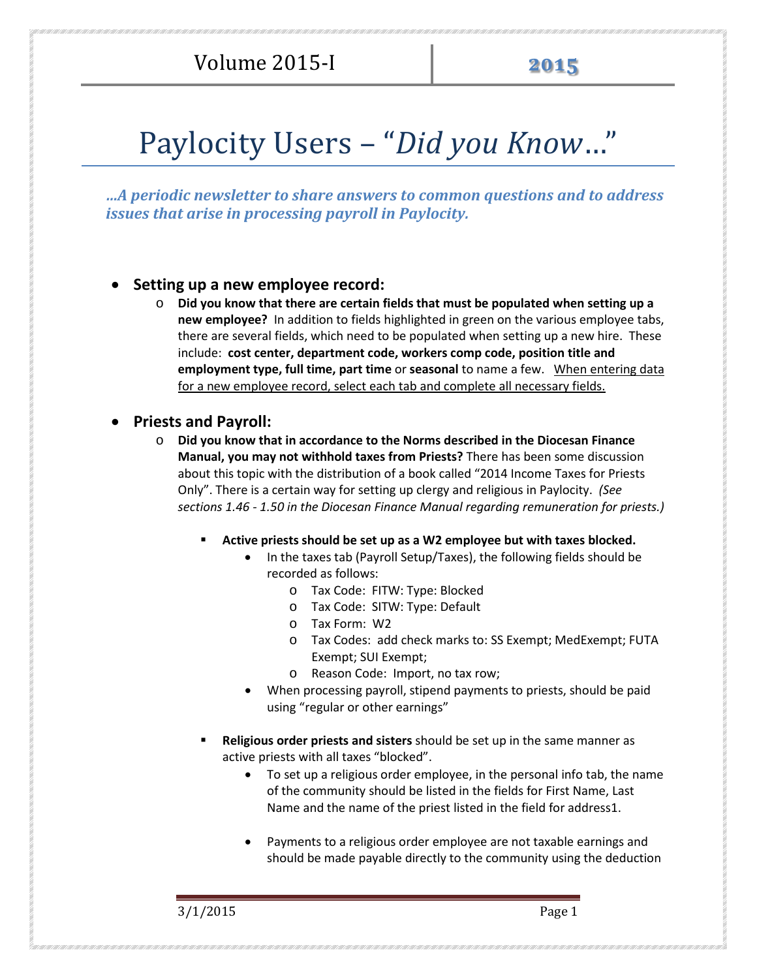# Paylocity Users – "*Did you Know*…"

*…A periodic newsletter to share answers to common questions and to address issues that arise in processing payroll in Paylocity.* 

#### • **Setting up a new employee record:**

o **Did you know that there are certain fields that must be populated when setting up a new employee?** In addition to fields highlighted in green on the various employee tabs, there are several fields, which need to be populated when setting up a new hire. These include: **cost center, department code, workers comp code, position title and employment type, full time, part time** or **seasonal** to name a few. When entering data for a new employee record, select each tab and complete all necessary fields.

#### • **Priests and Payroll:**

- o **Did you know that in accordance to the Norms described in the Diocesan Finance Manual, you may not withhold taxes from Priests?** There has been some discussion about this topic with the distribution of a book called "2014 Income Taxes for Priests Only". There is a certain way for setting up clergy and religious in Paylocity. *(See sections 1.46 - 1.50 in the Diocesan Finance Manual regarding remuneration for priests.)*
	- **Active priests should be set up as a W2 employee but with taxes blocked.**
		- In the taxes tab (Payroll Setup/Taxes), the following fields should be recorded as follows:
			- o Tax Code: FITW: Type: Blocked
			- o Tax Code: SITW: Type: Default
			- o Tax Form: W2
			- o Tax Codes: add check marks to: SS Exempt; MedExempt; FUTA Exempt; SUI Exempt;
			- o Reason Code: Import, no tax row;
		- When processing payroll, stipend payments to priests, should be paid using "regular or other earnings"
	- **Religious order priests and sisters** should be set up in the same manner as active priests with all taxes "blocked".
		- To set up a religious order employee, in the personal info tab, the name of the community should be listed in the fields for First Name, Last Name and the name of the priest listed in the field for address1.
		- Payments to a religious order employee are not taxable earnings and should be made payable directly to the community using the deduction

3/1/2015 Page 1